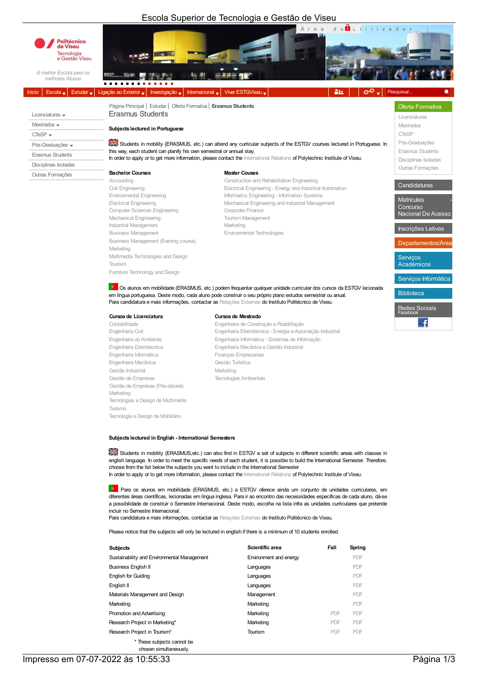## Escola Superior de Tecnologia e Gestão de Viseu



Computer Sciences Engineering Mechanical Engineering Tourism Management Industrial Management **Marketing** Marketing Business Management Environmental Technologies Business Management (Evening course) Marketing Multimedia Technologies and Design Tourism Furniture Technology and Design

Electrical Engineering<br>
Corporate Engineering Mechanical Engineering and Industrial Management<br>
Corporate Finance

Departamentos/Área Serviços Académicos

Biblioteca

Redes Sociais

Concurso Nacional De Aces Inscrições Letivas

Serviços Informática

 $\ddot{\mathbf{r}}$ 

Os alunos em mobilidade (ERASMUS, etc.) podem frequentar qualquer unidade curricular dos cursos da ESTGV lecionada em língua portuguesa. Deste modo, cada aluno pode construir o seu próprio plano estudos semestral ou anual. Para candidatura e mais informações, contactar as Relações Externas do Instituto Politécnico de Viseu.

## Cursosde Licenciatura Cursosde Mestrado

Engenharia Informática **Finanças Empresariais** Engenharia Mecânica Componente de Contra Gestão Turística Gestão Industrial **Marketing** Marketing Gestão de Empresas Tecnologias Ambientais Gestão de Empresas (Pós-laboral) Marketing Tecnologias e Design de Multimédia Turismo Tecnologia e Design de Mobiliário

Contabilidade Engenharia de Construção e Reabilitação Engenharia Civil Engenharia Eletrotécnica - Energia eAutomação Industrial Engenharia Informática - Sistemas de Informação Engenharia Eletrotécnica Engenharia Mecânica e Gestão Industrial

Subjects lectured in English - International Semesters

Students in mobility (ERASMUS, etc.) can also find in ESTGV a set of subjects in different scientific areas with classes in english language. In order to meet the specific needs of each student, it is possible to build the International Semester. Therefore, choose from the list below the subjects you want to include in the International Semester In order to apply or to get more information, please contact the International Relations of Polytechnic Institute of Viseu.

Para os alunos em mobilidade (ERASMUS, etc.) a ESTGV oferece ainda um conjunto de unidades curriculares, em diferentes áreas científicas, lecionadas em língua inglesa. Para ir ao encontro das necessidades específicas de cada aluno, dá-se a possibilidade de construir o Semestre Internacional. Deste modo, escolha na lista infra as unidades curriculares que pretende incluir no Semestre Internacional.

Para candidatura e mais informações, contactar as Relações Externas do Instituto Politécnico de Viseu.

Please notice that the subjects will only be lectured in english if there is a minimum of 10 students enrolled.

| <b>Subjects</b>                             | Scientific area        | Fall | Spring |
|---------------------------------------------|------------------------|------|--------|
| Sustainability and Environmental Management | Environment and energy |      | PDF    |
| <b>Business English II</b>                  | Languages              |      | PDF    |
| <b>English for Guiding</b>                  | Languages              |      | PDF    |
| English II                                  | Languages              |      | PDF    |
| Materials Management and Design             | Management             |      | PDF    |
| Marketing                                   | Marketing              |      | PDF    |
| Promotion and Advertising                   | Marketing              | PDF  | PDF    |
| Research Project in Marketing*              | Marketing              | PDF  | PDF    |
| Research Project in Tourism*                | Tourism                | PDF  | PDF    |
| * These subjects cannot be                  |                        |      |        |

chosen simultaneously.